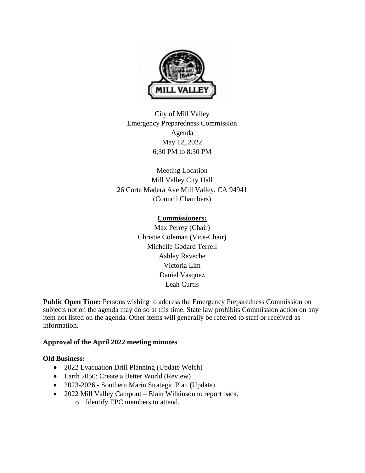

City of Mill Valley Emergency Preparedness Commission Agenda May 12, 2022 6:30 PM to 8:30 PM

Meeting Location Mill Valley City Hall 26 Corte Madera Ave Mill Valley, CA 94941 (Council Chambers)

# **Commissioners:**

Max Perrey (Chair) Christie Coleman (Vice-Chair) Michelle Godard Terrell Ashley Raveche Victoria Lim Daniel Vasquez Leah Curtis

Public Open Time: Persons wishing to address the Emergency Preparedness Commission on subjects not on the agenda may do so at this time. State law prohibits Commission action on any item not listed on the agenda. Other items will generally be referred to staff or received as information.

# **Approval of the April 2022 meeting minutes**

### **Old Business:**

- 2022 Evacuation Drill Planning (Update Welch)
- Earth 2050: Create a Better World (Review)
- 2023-2026 Southern Marin Strategic Plan (Update)
- 2022 Mill Valley Campout Elain Wilkinson to report back.
	- o Identify EPC members to attend.